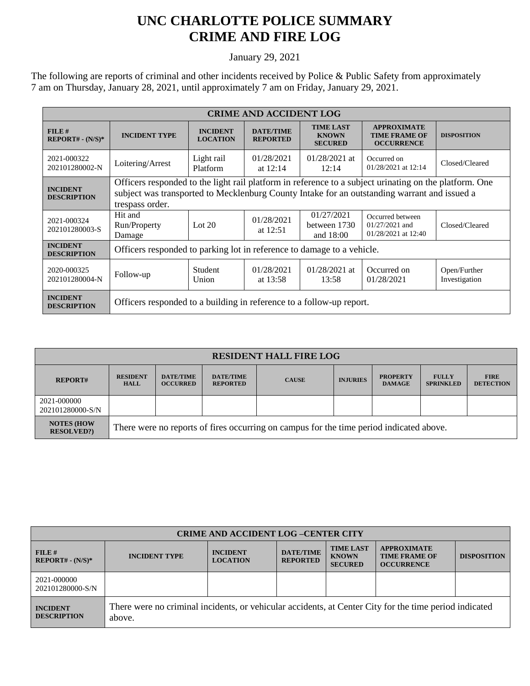## **UNC CHARLOTTE POLICE SUMMARY CRIME AND FIRE LOG**

January 29, 2021

The following are reports of criminal and other incidents received by Police & Public Safety from approximately 7 am on Thursday, January 28, 2021, until approximately 7 am on Friday, January 29, 2021.

| <b>CRIME AND ACCIDENT LOG</b>         |                                                                                                                                                                                                                           |                                    |                                     |                                                    |                                                                 |                               |  |  |
|---------------------------------------|---------------------------------------------------------------------------------------------------------------------------------------------------------------------------------------------------------------------------|------------------------------------|-------------------------------------|----------------------------------------------------|-----------------------------------------------------------------|-------------------------------|--|--|
| $FILE$ #<br>$REPORT# - (N/S)*$        | <b>INCIDENT TYPE</b>                                                                                                                                                                                                      | <b>INCIDENT</b><br><b>LOCATION</b> | <b>DATE/TIME</b><br><b>REPORTED</b> | <b>TIME LAST</b><br><b>KNOWN</b><br><b>SECURED</b> | <b>APPROXIMATE</b><br><b>TIME FRAME OF</b><br><b>OCCURRENCE</b> | <b>DISPOSITION</b>            |  |  |
| 2021-000322<br>202101280002-N         | Loitering/Arrest                                                                                                                                                                                                          | Light rail<br><b>Platform</b>      | 01/28/2021<br>at $12:14$            | $01/28/2021$ at<br>12:14                           | Occurred on<br>01/28/2021 at 12:14                              | Closed/Cleared                |  |  |
| <b>INCIDENT</b><br><b>DESCRIPTION</b> | Officers responded to the light rail platform in reference to a subject urinating on the platform. One<br>subject was transported to Mecklenburg County Intake for an outstanding warrant and issued a<br>trespass order. |                                    |                                     |                                                    |                                                                 |                               |  |  |
| 2021-000324<br>202101280003-S         | Hit and<br>Run/Property<br>Damage                                                                                                                                                                                         | Lot $20$                           | 01/28/2021<br>at $12:51$            | 01/27/2021<br>between 1730<br>and 18:00            | Occurred between<br>$01/27/2021$ and<br>01/28/2021 at 12:40     | Closed/Cleared                |  |  |
| <b>INCIDENT</b><br><b>DESCRIPTION</b> | Officers responded to parking lot in reference to damage to a vehicle.                                                                                                                                                    |                                    |                                     |                                                    |                                                                 |                               |  |  |
| 2020-000325<br>202101280004-N         | Follow-up                                                                                                                                                                                                                 | <b>Student</b><br>Union            | 01/28/2021<br>at $13:58$            | $01/28/2021$ at<br>13:58                           | Occurred on<br>01/28/2021                                       | Open/Further<br>Investigation |  |  |
| <b>INCIDENT</b><br><b>DESCRIPTION</b> | Officers responded to a building in reference to a follow-up report.                                                                                                                                                      |                                    |                                     |                                                    |                                                                 |                               |  |  |

| <b>RESIDENT HALL FIRE LOG</b>          |                                                                                         |                                     |                                     |              |                 |                                  |                                  |                                 |
|----------------------------------------|-----------------------------------------------------------------------------------------|-------------------------------------|-------------------------------------|--------------|-----------------|----------------------------------|----------------------------------|---------------------------------|
| <b>REPORT#</b>                         | <b>RESIDENT</b><br><b>HALL</b>                                                          | <b>DATE/TIME</b><br><b>OCCURRED</b> | <b>DATE/TIME</b><br><b>REPORTED</b> | <b>CAUSE</b> | <b>INJURIES</b> | <b>PROPERTY</b><br><b>DAMAGE</b> | <b>FULLY</b><br><b>SPRINKLED</b> | <b>FIRE</b><br><b>DETECTION</b> |
| 2021-000000<br>202101280000-S/N        |                                                                                         |                                     |                                     |              |                 |                                  |                                  |                                 |
| <b>NOTES (HOW)</b><br><b>RESOLVED?</b> | There were no reports of fires occurring on campus for the time period indicated above. |                                     |                                     |              |                 |                                  |                                  |                                 |

| <b>CRIME AND ACCIDENT LOG-CENTER CITY</b> |                                                                                                                  |                                    |                                     |                                                    |                                                                 |                    |  |
|-------------------------------------------|------------------------------------------------------------------------------------------------------------------|------------------------------------|-------------------------------------|----------------------------------------------------|-----------------------------------------------------------------|--------------------|--|
| FILE H<br>$REPORT# - (N/S)*$              | <b>INCIDENT TYPE</b>                                                                                             | <b>INCIDENT</b><br><b>LOCATION</b> | <b>DATE/TIME</b><br><b>REPORTED</b> | <b>TIME LAST</b><br><b>KNOWN</b><br><b>SECURED</b> | <b>APPROXIMATE</b><br><b>TIME FRAME OF</b><br><b>OCCURRENCE</b> | <b>DISPOSITION</b> |  |
| 2021-000000<br>202101280000-S/N           |                                                                                                                  |                                    |                                     |                                                    |                                                                 |                    |  |
| <b>INCIDENT</b><br><b>DESCRIPTION</b>     | There were no criminal incidents, or vehicular accidents, at Center City for the time period indicated<br>above. |                                    |                                     |                                                    |                                                                 |                    |  |